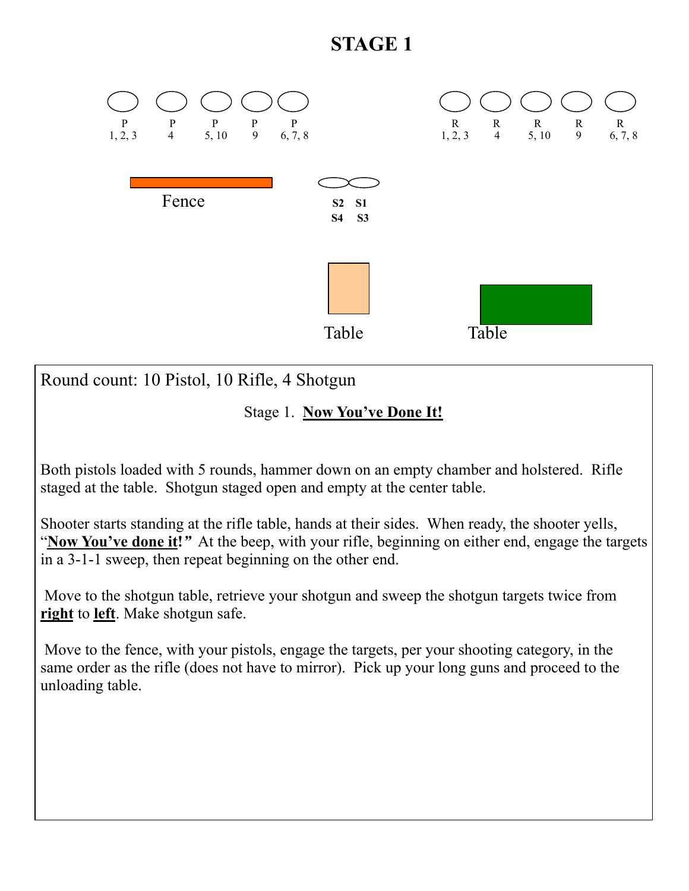

Stage 1. **Now You've Done It!** 

Both pistols loaded with 5 rounds, hammer down on an empty chamber and holstered. Rifle staged at the table. Shotgun staged open and empty at the center table.

Shooter starts standing at the rifle table, hands at their sides. When ready, the shooter yells, "**Now You've done it!***"* At the beep, with your rifle, beginning on either end, engage the targets in a 3-1-1 sweep, then repeat beginning on the other end.

 Move to the shotgun table, retrieve your shotgun and sweep the shotgun targets twice from **right** to **left**. Make shotgun safe.

 Move to the fence, with your pistols, engage the targets, per your shooting category, in the same order as the rifle (does not have to mirror). Pick up your long guns and proceed to the unloading table.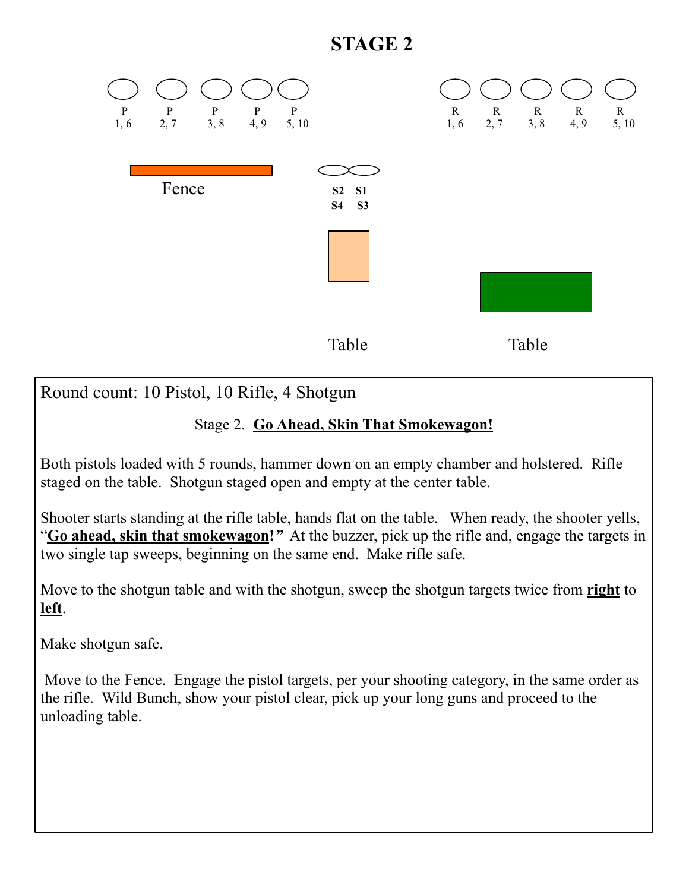

Round count: 10 Pistol, 10 Rifle, 4 Shotgun

#### Stage 2. **Go Ahead, Skin That Smokewagon!**

Both pistols loaded with 5 rounds, hammer down on an empty chamber and holstered. Rifle staged on the table. Shotgun staged open and empty at the center table.

Shooter starts standing at the rifle table, hands flat on the table. When ready, the shooter yells, "**Go ahead, skin that smokewagon!***"* At the buzzer, pick up the rifle and, engage the targets in two single tap sweeps, beginning on the same end. Make rifle safe.

Move to the shotgun table and with the shotgun, sweep the shotgun targets twice from **right** to **left**.

Make shotgun safe.

 Move to the Fence. Engage the pistol targets, per your shooting category, in the same order as the rifle. Wild Bunch, show your pistol clear, pick up your long guns and proceed to the unloading table.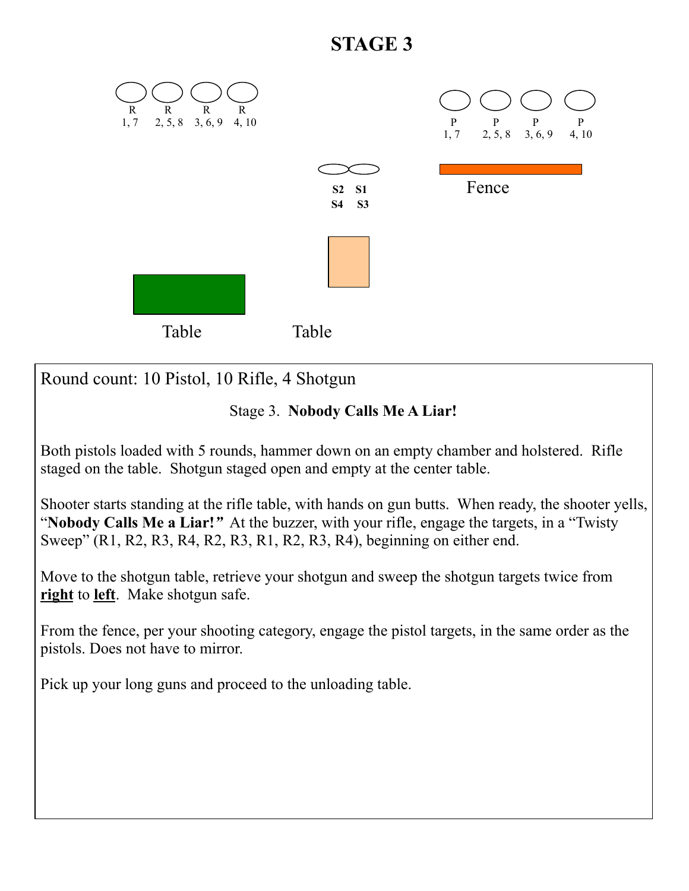

Round count: 10 Pistol, 10 Rifle, 4 Shotgun

### Stage 3. **Nobody Calls Me A Liar!**

Both pistols loaded with 5 rounds, hammer down on an empty chamber and holstered. Rifle staged on the table. Shotgun staged open and empty at the center table.

Shooter starts standing at the rifle table, with hands on gun butts. When ready, the shooter yells, "**Nobody Calls Me a Liar!***"* At the buzzer, with your rifle, engage the targets, in a "Twisty Sweep" (R1, R2, R3, R4, R2, R3, R1, R2, R3, R4), beginning on either end.

Move to the shotgun table, retrieve your shotgun and sweep the shotgun targets twice from **right** to **left**. Make shotgun safe.

From the fence, per your shooting category, engage the pistol targets, in the same order as the pistols. Does not have to mirror.

Pick up your long guns and proceed to the unloading table.